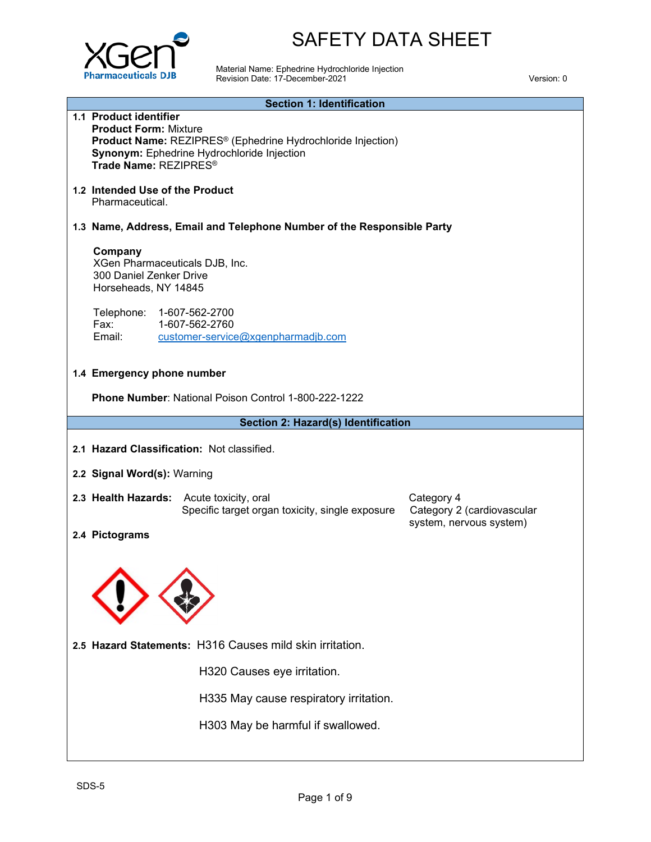

**1.1 Product identifier**

# SAFETY DATA SHEET

Material Name: Ephedrine Hydrochloride Injection Revision Date: 17-December-2021 Version: 0

#### **Section 1: Identification**

| <b>Product Form: Mixture</b><br>Product Name: REZIPRES <sup>®</sup> (Ephedrine Hydrochloride Injection)<br>Synonym: Ephedrine Hydrochloride Injection<br>Trade Name: REZIPRES <sup>®</sup> |                                                    |                                                             |                                                                     |  |  |  |
|--------------------------------------------------------------------------------------------------------------------------------------------------------------------------------------------|----------------------------------------------------|-------------------------------------------------------------|---------------------------------------------------------------------|--|--|--|
|                                                                                                                                                                                            | 1.2 Intended Use of the Product<br>Pharmaceutical. |                                                             |                                                                     |  |  |  |
| 1.3 Name, Address, Email and Telephone Number of the Responsible Party                                                                                                                     |                                                    |                                                             |                                                                     |  |  |  |
| Company<br>XGen Pharmaceuticals DJB, Inc.<br>300 Daniel Zenker Drive<br>Horseheads, NY 14845                                                                                               |                                                    |                                                             |                                                                     |  |  |  |
| Telephone:<br>Fax:<br>Email:                                                                                                                                                               | 1-607-562-2700<br>1-607-562-2760                   | customer-service@xgenpharmadjb.com                          |                                                                     |  |  |  |
| 1.4 Emergency phone number                                                                                                                                                                 |                                                    |                                                             |                                                                     |  |  |  |
|                                                                                                                                                                                            |                                                    | <b>Phone Number: National Poison Control 1-800-222-1222</b> |                                                                     |  |  |  |
|                                                                                                                                                                                            |                                                    | Section 2: Hazard(s) Identification                         |                                                                     |  |  |  |
| 2.1 Hazard Classification: Not classified.                                                                                                                                                 |                                                    |                                                             |                                                                     |  |  |  |
| 2.2 Signal Word(s): Warning                                                                                                                                                                |                                                    |                                                             |                                                                     |  |  |  |
| 2.3 Health Hazards: Acute toxicity, oral                                                                                                                                                   |                                                    | Specific target organ toxicity, single exposure             | Category 4<br>Category 2 (cardiovascular<br>system, nervous system) |  |  |  |
| 2.4 Pictograms                                                                                                                                                                             |                                                    |                                                             |                                                                     |  |  |  |
|                                                                                                                                                                                            |                                                    | 2.5 Hazard Statements: H316 Causes mild skin irritation.    |                                                                     |  |  |  |
|                                                                                                                                                                                            |                                                    | H320 Causes eye irritation.                                 |                                                                     |  |  |  |
|                                                                                                                                                                                            |                                                    | H335 May cause respiratory irritation.                      |                                                                     |  |  |  |
|                                                                                                                                                                                            |                                                    | H303 May be harmful if swallowed.                           |                                                                     |  |  |  |
| SDS-5                                                                                                                                                                                      |                                                    | Page 1 of 9                                                 |                                                                     |  |  |  |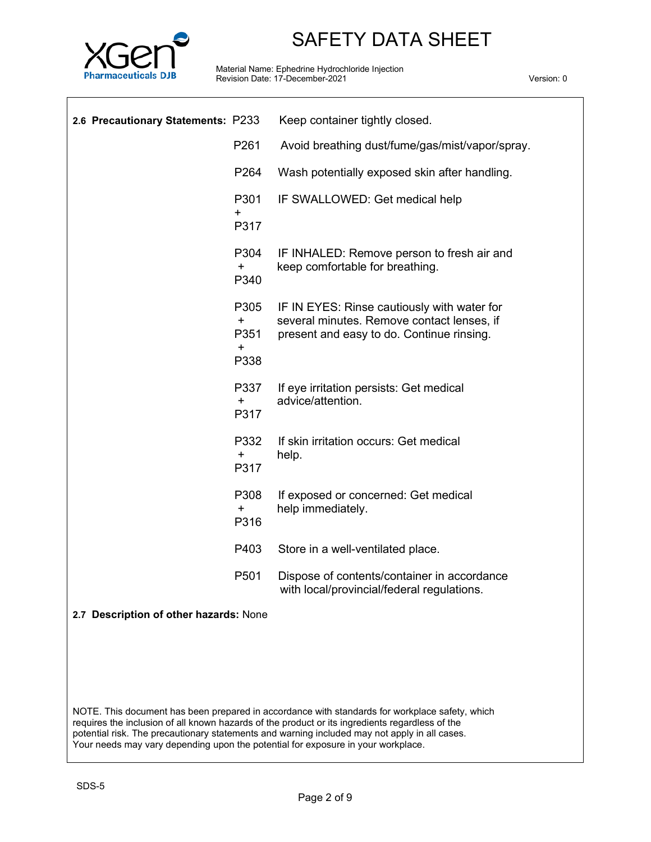

Material Name: Ephedrine Hydrochloride Injection Revision Date: 17-December-2021 Version: 0

| 2.6 Precautionary Statements: P233       | Keep container tightly closed.                                                                                                         |
|------------------------------------------|----------------------------------------------------------------------------------------------------------------------------------------|
| P261                                     | Avoid breathing dust/fume/gas/mist/vapor/spray.                                                                                        |
| P264                                     | Wash potentially exposed skin after handling.                                                                                          |
| P301<br>+<br>P317                        | IF SWALLOWED: Get medical help                                                                                                         |
| P304<br>$\pm$<br>P340                    | IF INHALED: Remove person to fresh air and<br>keep comfortable for breathing.                                                          |
| P305<br>$+$<br>P351<br>$\ddot{}$<br>P338 | IF IN EYES: Rinse cautiously with water for<br>several minutes. Remove contact lenses, if<br>present and easy to do. Continue rinsing. |
| P337<br>+<br>P317                        | If eye irritation persists: Get medical<br>advice/attention.                                                                           |
| P332<br>+<br>P317                        | If skin irritation occurs: Get medical<br>help.                                                                                        |
| P308<br>+<br>P316                        | If exposed or concerned: Get medical<br>help immediately.                                                                              |
| P403                                     | Store in a well-ventilated place.                                                                                                      |
| P501                                     | Dispose of contents/container in accordance<br>with local/provincial/federal regulations.                                              |

## **2.7 Description of other hazards:** None

NOTE. This document has been prepared in accordance with standards for workplace safety, which requires the inclusion of all known hazards of the product or its ingredients regardless of the potential risk. The precautionary statements and warning included may not apply in all cases. Your needs may vary depending upon the potential for exposure in your workplace.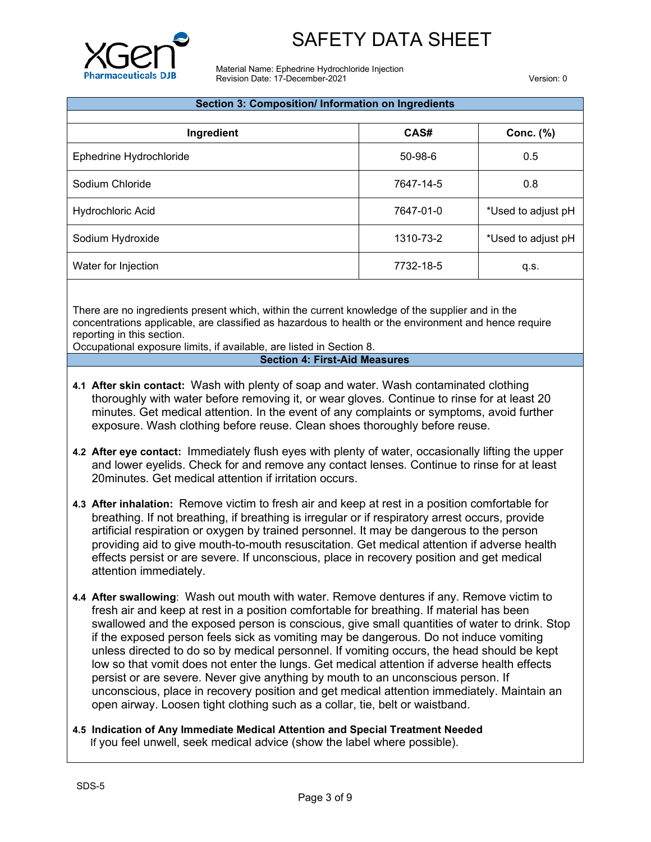

Material Name: Ephedrine Hydrochloride Injection Revision Date: 17-December-2021 Version: 0

| Section 3: Composition/ Information on Ingredients |               |                    |  |  |
|----------------------------------------------------|---------------|--------------------|--|--|
| Ingredient                                         | CAS#          | Conc. $(\%)$       |  |  |
| Ephedrine Hydrochloride                            | $50 - 98 - 6$ | 0.5                |  |  |
| Sodium Chloride                                    | 7647-14-5     | 0.8                |  |  |
| Hydrochloric Acid                                  | 7647-01-0     | *Used to adjust pH |  |  |
| Sodium Hydroxide                                   | 1310-73-2     | *Used to adjust pH |  |  |
| Water for Injection                                | 7732-18-5     | q.s.               |  |  |

There are no ingredients present which, within the current knowledge of the supplier and in the concentrations applicable, are classified as hazardous to health or the environment and hence require reporting in this section.

Occupational exposure limits, if available, are listed in Section 8.

#### **4 Section 4: First-Aid Measures**

- **4.1 After skin contact:** Wash with plenty of soap and water. Wash contaminated clothing thoroughly with water before removing it, or wear gloves. Continue to rinse for at least 20 minutes. Get medical attention. In the event of any complaints or symptoms, avoid further exposure. Wash clothing before reuse. Clean shoes thoroughly before reuse.
- **4.2 After eye contact:** Immediately flush eyes with plenty of water, occasionally lifting the upper and lower eyelids. Check for and remove any contact lenses. Continue to rinse for at least 20minutes. Get medical attention if irritation occurs.
- **4.3 After inhalation:** Remove victim to fresh air and keep at rest in a position comfortable for breathing. If not breathing, if breathing is irregular or if respiratory arrest occurs, provide artificial respiration or oxygen by trained personnel. It may be dangerous to the person providing aid to give mouth-to-mouth resuscitation. Get medical attention if adverse health effects persist or are severe. If unconscious, place in recovery position and get medical attention immediately.
- **4.4 After swallowing**: Wash out mouth with water. Remove dentures if any. Remove victim to fresh air and keep at rest in a position comfortable for breathing. If material has been swallowed and the exposed person is conscious, give small quantities of water to drink. Stop if the exposed person feels sick as vomiting may be dangerous. Do not induce vomiting unless directed to do so by medical personnel. If vomiting occurs, the head should be kept low so that vomit does not enter the lungs. Get medical attention if adverse health effects persist or are severe. Never give anything by mouth to an unconscious person. If unconscious, place in recovery position and get medical attention immediately. Maintain an open airway. Loosen tight clothing such as a collar, tie, belt or waistband.
- **4.5 Indication of Any Immediate Medical Attention and Special Treatment Needed** If you feel unwell, seek medical advice (show the label where possible).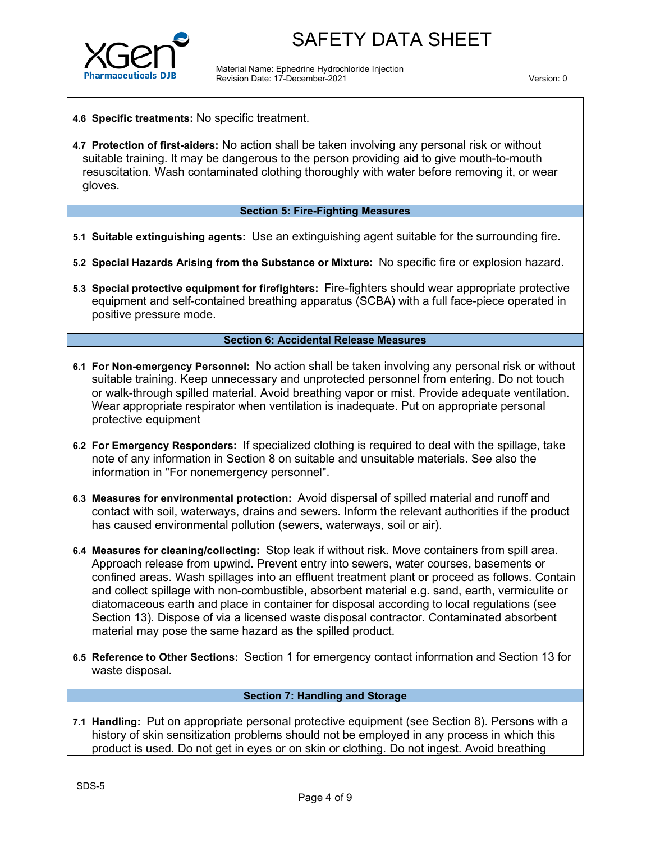

Material Name: Ephedrine Hydrochloride Injection Revision Date: 17-December-2021 Version: 0

- **4.6 Specific treatments:** No specific treatment.
- **4.7 Protection of first-aiders:** No action shall be taken involving any personal risk or without suitable training. It may be dangerous to the person providing aid to give mouth-to-mouth resuscitation. Wash contaminated clothing thoroughly with water before removing it, or wear gloves.

#### **Section 5: Fire-Fighting Measures**

- **5.1 Suitable extinguishing agents:** Use an extinguishing agent suitable for the surrounding fire.
- **5.2 Special Hazards Arising from the Substance or Mixture:** No specific fire or explosion hazard.
- **5.3 Special protective equipment for firefighters:** Fire-fighters should wear appropriate protective equipment and self-contained breathing apparatus (SCBA) with a full face-piece operated in positive pressure mode.

#### **Section 6: Accidental Release Measures**

- **6.1 For Non-emergency Personnel:** No action shall be taken involving any personal risk or without suitable training. Keep unnecessary and unprotected personnel from entering. Do not touch or walk-through spilled material. Avoid breathing vapor or mist. Provide adequate ventilation. Wear appropriate respirator when ventilation is inadequate. Put on appropriate personal protective equipment
- **6.2 For Emergency Responders:** If specialized clothing is required to deal with the spillage, take note of any information in Section 8 on suitable and unsuitable materials. See also the information in "For nonemergency personnel".
- **6.3 Measures for environmental protection:** Avoid dispersal of spilled material and runoff and contact with soil, waterways, drains and sewers. Inform the relevant authorities if the product has caused environmental pollution (sewers, waterways, soil or air).
- **6.4 Measures for cleaning/collecting:** Stop leak if without risk. Move containers from spill area. Approach release from upwind. Prevent entry into sewers, water courses, basements or confined areas. Wash spillages into an effluent treatment plant or proceed as follows. Contain and collect spillage with non-combustible, absorbent material e.g. sand, earth, vermiculite or diatomaceous earth and place in container for disposal according to local regulations (see Section 13). Dispose of via a licensed waste disposal contractor. Contaminated absorbent material may pose the same hazard as the spilled product.
- **6.5 Reference to Other Sections:** Section 1 for emergency contact information and Section 13 for waste disposal.

## **Section 7: Handling and Storage**

**7.1 Handling:** Put on appropriate personal protective equipment (see Section 8). Persons with a history of skin sensitization problems should not be employed in any process in which this product is used. Do not get in eyes or on skin or clothing. Do not ingest. Avoid breathing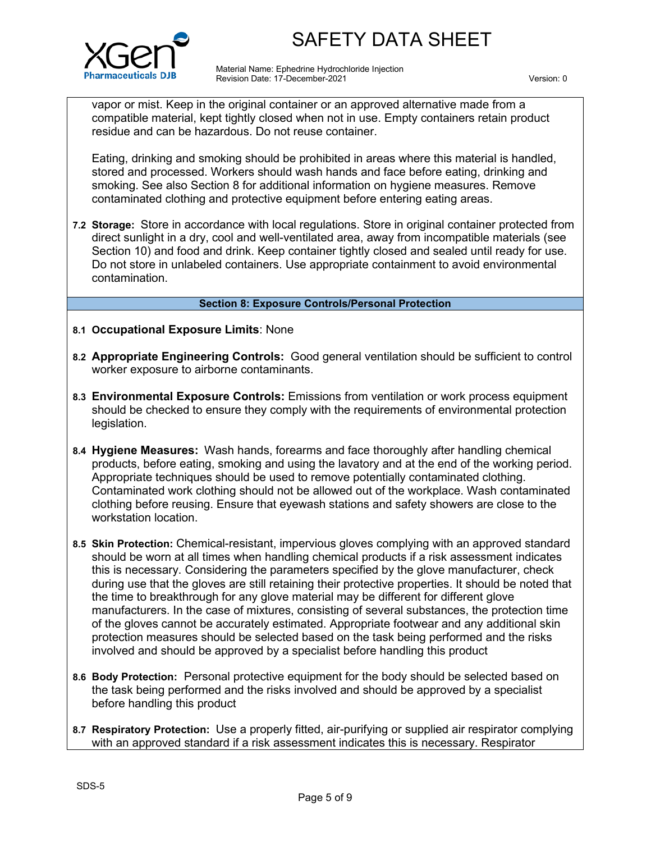

Material Name: Ephedrine Hydrochloride Injection Revision Date: 17-December-2021 Version: 0

vapor or mist. Keep in the original container or an approved alternative made from a compatible material, kept tightly closed when not in use. Empty containers retain product residue and can be hazardous. Do not reuse container.

Eating, drinking and smoking should be prohibited in areas where this material is handled, stored and processed. Workers should wash hands and face before eating, drinking and smoking. See also Section 8 for additional information on hygiene measures. Remove contaminated clothing and protective equipment before entering eating areas.

**7.2 Storage:** Store in accordance with local regulations. Store in original container protected from direct sunlight in a dry, cool and well-ventilated area, away from incompatible materials (see Section 10) and food and drink. Keep container tightly closed and sealed until ready for use. Do not store in unlabeled containers. Use appropriate containment to avoid environmental contamination.

#### **Section 8: Exposure Controls/Personal Protection**

- **8.1 Occupational Exposure Limits**: None
- **8.2 Appropriate Engineering Controls:** Good general ventilation should be sufficient to control worker exposure to airborne contaminants.
- **8.3 Environmental Exposure Controls:** Emissions from ventilation or work process equipment should be checked to ensure they comply with the requirements of environmental protection legislation.
- **8.4 Hygiene Measures:** Wash hands, forearms and face thoroughly after handling chemical products, before eating, smoking and using the lavatory and at the end of the working period. Appropriate techniques should be used to remove potentially contaminated clothing. Contaminated work clothing should not be allowed out of the workplace. Wash contaminated clothing before reusing. Ensure that eyewash stations and safety showers are close to the workstation location.
- **8.5 Skin Protection:** Chemical-resistant, impervious gloves complying with an approved standard should be worn at all times when handling chemical products if a risk assessment indicates this is necessary. Considering the parameters specified by the glove manufacturer, check during use that the gloves are still retaining their protective properties. It should be noted that the time to breakthrough for any glove material may be different for different glove manufacturers. In the case of mixtures, consisting of several substances, the protection time of the gloves cannot be accurately estimated. Appropriate footwear and any additional skin protection measures should be selected based on the task being performed and the risks involved and should be approved by a specialist before handling this product
- **8.6 Body Protection:** Personal protective equipment for the body should be selected based on the task being performed and the risks involved and should be approved by a specialist before handling this product
- **8.7 Respiratory Protection:** Use a properly fitted, air-purifying or supplied air respirator complying with an approved standard if a risk assessment indicates this is necessary. Respirator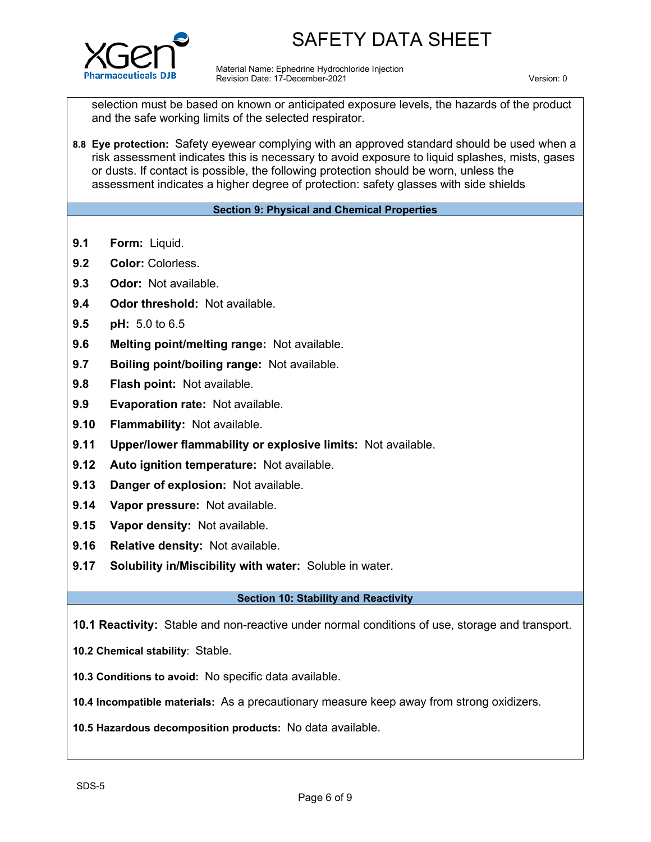

Material Name: Ephedrine Hydrochloride Injection Revision Date: 17-December-2021 Version: 0

selection must be based on known or anticipated exposure levels, the hazards of the product and the safe working limits of the selected respirator.

**8.8 Eye protection:** Safety eyewear complying with an approved standard should be used when a risk assessment indicates this is necessary to avoid exposure to liquid splashes, mists, gases or dusts. If contact is possible, the following protection should be worn, unless the assessment indicates a higher degree of protection: safety glasses with side shields

### **Section 9: Physical and Chemical Properties**

- **9.1 Form:** Liquid.
- 9.2 **Color:** Colorless.
- **9.3 Odor:** Not available.
- **9.4 Odor threshold:** Not available.
- **9.5 pH:** 5.0 to 6.5
- **9.6 Melting point/melting range:** Not available.
- **9.7 Boiling point/boiling range:** Not available.
- **9.8 Flash point:** Not available.
- **9.9 Evaporation rate:** Not available.
- **9.10 Flammability:** Not available.
- **9.11 Upper/lower flammability or explosive limits:** Not available.
- **9.12 Auto ignition temperature:** Not available.
- **9.13 Danger of explosion:** Not available.
- **9.14 Vapor pressure:** Not available.
- **9.15 Vapor density:** Not available.
- **9.16 Relative density:** Not available.
- **9.17 Solubility in/Miscibility with water:** Soluble in water.

#### **Section 10: Stability and Reactivity**

**10.1 Reactivity:** Stable and non-reactive under normal conditions of use, storage and transport.

- **10.2 Chemical stability**: Stable.
- **10.3 Conditions to avoid:** No specific data available.
- **10.4 Incompatible materials:** As a precautionary measure keep away from strong oxidizers.
- **10.5 Hazardous decomposition products:** No data available.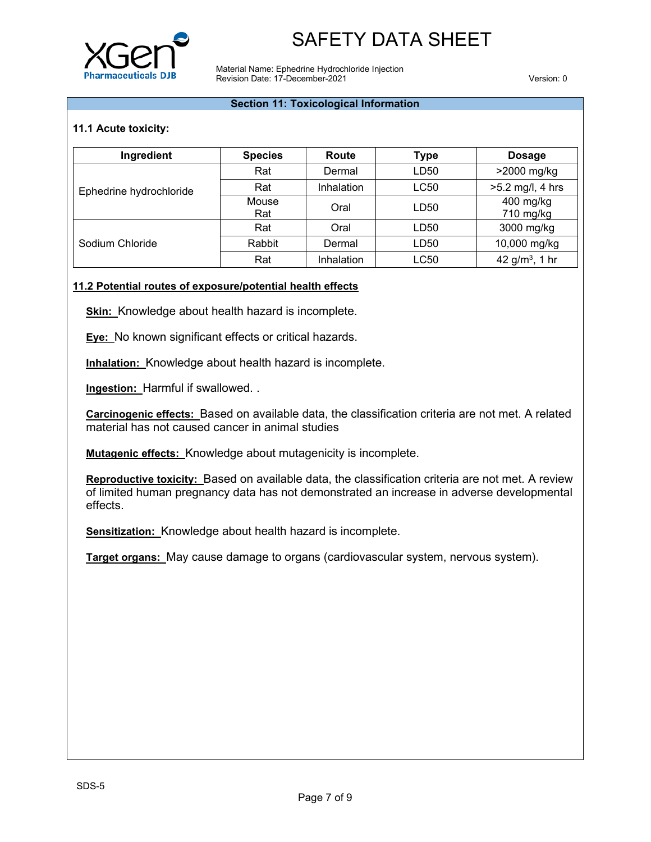

Material Name: Ephedrine Hydrochloride Injection Revision Date: 17-December-2021 Version: 0

#### **Section 11: Toxicological Information**

### **11.1 Acute toxicity:**

| Ingredient              | <b>Species</b> | Route      | Type             | <b>Dosage</b>          |
|-------------------------|----------------|------------|------------------|------------------------|
|                         | Rat            | Dermal     | LD50             | >2000 mg/kg            |
| Ephedrine hydrochloride | Rat            | Inhalation | LC50             | $>5.2$ mg/l, 4 hrs     |
|                         | Mouse<br>Rat   | Oral       | LD50             | 400 mg/kg<br>710 mg/kg |
|                         | Rat            | Oral       | LD <sub>50</sub> | 3000 mg/kg             |
| Sodium Chloride         | Rabbit         | Dermal     | LD50             | 10,000 mg/kg           |
|                         | Rat            | Inhalation | <b>LC50</b>      | 42 $g/m^3$ , 1 hr      |

#### **11.2 Potential routes of exposure/potential health effects**

**Skin:** Knowledge about health hazard is incomplete.

**Eye:** No known significant effects or critical hazards.

**Inhalation:** Knowledge about health hazard is incomplete.

**Ingestion:** Harmful if swallowed. .

**Carcinogenic effects:** Based on available data, the classification criteria are not met. A related material has not caused cancer in animal studies

**Mutagenic effects:** Knowledge about mutagenicity is incomplete.

**Reproductive toxicity:** Based on available data, the classification criteria are not met. A review of limited human pregnancy data has not demonstrated an increase in adverse developmental effects.

**Sensitization:** Knowledge about health hazard is incomplete.

**Target organs:** May cause damage to organs (cardiovascular system, nervous system).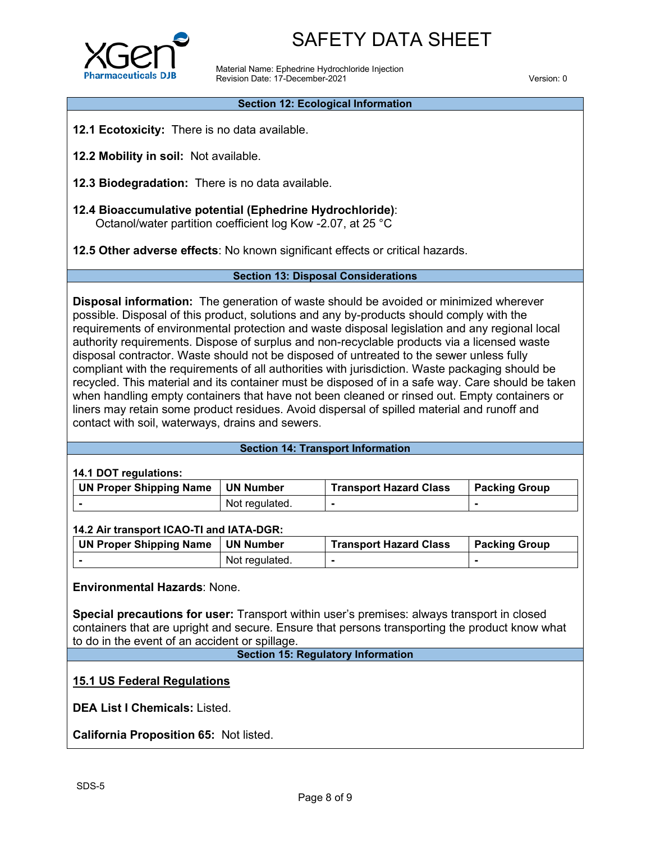

Material Name: Ephedrine Hydrochloride Injection Revision Date: 17-December-2021 Version: 0

#### **Section 12: Ecological Information**

- **12.1 Ecotoxicity:** There is no data available.
- **12.2 Mobility in soil:** Not available.
- **12.3 Biodegradation:** There is no data available.
- **12.4 Bioaccumulative potential (Ephedrine Hydrochloride)**: Octanol/water partition coefficient log Kow -2.07, at 25 °C

**12.5 Other adverse effects**: No known significant effects or critical hazards.

#### **Section 13: Disposal Considerations**

**Disposal information:** The generation of waste should be avoided or minimized wherever possible. Disposal of this product, solutions and any by-products should comply with the requirements of environmental protection and waste disposal legislation and any regional local authority requirements. Dispose of surplus and non-recyclable products via a licensed waste disposal contractor. Waste should not be disposed of untreated to the sewer unless fully compliant with the requirements of all authorities with jurisdiction. Waste packaging should be recycled. This material and its container must be disposed of in a safe way. Care should be taken when handling empty containers that have not been cleaned or rinsed out. Empty containers or liners may retain some product residues. Avoid dispersal of spilled material and runoff and contact with soil, waterways, drains and sewers.

#### **Section 14: Transport Information**

### **14.1 DOT regulations:**

| <b>UN Proper Shipping Name</b> | <b>UN Number</b> | <b>Transport Hazard Class</b> | <b>Packing Group</b> |
|--------------------------------|------------------|-------------------------------|----------------------|
|                                | Not regulated.   |                               |                      |

### **14.2 Air transport ICAO-TI and IATA-DGR:**

| <b>UN Proper Shipping Name</b> | <b>UN Number</b> | <b>Transport Hazard Class</b> | <b>Packing Group</b> |
|--------------------------------|------------------|-------------------------------|----------------------|
|                                | Not regulated.   |                               |                      |

### **Environmental Hazards**: None.

**Special precautions for user:** Transport within user's premises: always transport in closed containers that are upright and secure. Ensure that persons transporting the product know what to do in the event of an accident or spillage.

#### **Section 15: Regulatory Information**

**15.1 US Federal Regulations**

**DEA List I Chemicals:** Listed.

**California Proposition 65:** Not listed.